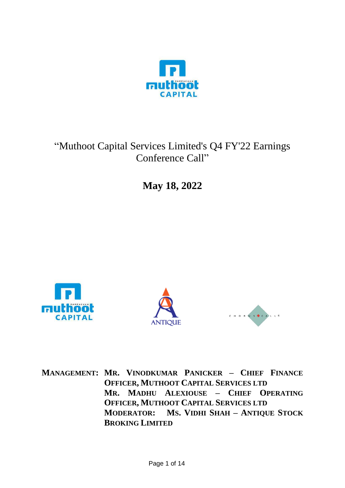

# "Muthoot Capital Services Limited's Q4 FY'22 Earnings Conference Call"

**May 18, 2022**







**MANAGEMENT: MR. VINODKUMAR PANICKER – CHIEF FINANCE OFFICER, MUTHOOT CAPITAL SERVICES LTD MR. MADHU ALEXIOUSE – CHIEF OPERATING OFFICER, MUTHOOT CAPITAL SERVICES LTD MODERATOR: MS. VIDHI SHAH – ANTIQUE STOCK BROKING LIMITED**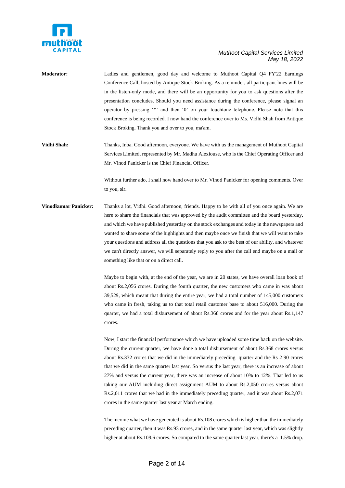

**Moderator:** Ladies and gentlemen, good day and welcome to Muthoot Capital Q4 FY'22 Earnings Conference Call, hosted by Antique Stock Broking. As a reminder, all participant lines will be in the listen-only mode, and there will be an opportunity for you to ask questions after the presentation concludes. Should you need assistance during the conference, please signal an operator by pressing '\*' and then '0' on your touchtone telephone. Please note that this conference is being recorded. I now hand the conference over to Ms. Vidhi Shah from Antique Stock Broking. Thank you and over to you, ma'am.

**Vidhi Shah:** Thanks, Inba. Good afternoon, everyone. We have with us the management of Muthoot Capital Services Limited, represented by Mr. Madhu Alexiouse, who is the Chief Operating Officer and Mr. Vinod Panicker is the Chief Financial Officer.

> Without further ado, I shall now hand over to Mr. Vinod Panicker for opening comments. Over to you, sir.

**Vinodkumar Panicker:** Thanks a lot, Vidhi. Good afternoon, friends. Happy to be with all of you once again. We are here to share the financials that was approved by the audit committee and the board yesterday, and which we have published yesterday on the stock exchanges and today in the newspapers and wanted to share some of the highlights and then maybe once we finish that we will want to take your questions and address all the questions that you ask to the best of our ability, and whatever we can't directly answer, we will separately reply to you after the call end maybe on a mail or something like that or on a direct call.

> Maybe to begin with, at the end of the year, we are in 20 states, we have overall loan book of about Rs.2,056 crores. During the fourth quarter, the new customers who came in was about 39,529, which meant that during the entire year, we had a total number of 145,000 customers who came in fresh, taking us to that total retail customer base to about 516,000. During the quarter, we had a total disbursement of about Rs.368 crores and for the year about Rs.1,147 crores.

> Now, I start the financial performance which we have uploaded some time back on the website. During the current quarter, we have done a total disbursement of about Rs.368 crores versus about Rs.332 crores that we did in the immediately preceding quarter and the Rs 2 90 crores that we did in the same quarter last year. So versus the last year, there is an increase of about 27% and versus the current year, there was an increase of about 10% to 12%. That led to us taking our AUM including direct assignment AUM to about Rs.2,050 crores versus about Rs.2,011 crores that we had in the immediately preceding quarter, and it was about Rs.2,071 crores in the same quarter last year at March ending.

> The income what we have generated is about Rs.108 crores which is higher than the immediately preceding quarter, then it was Rs.93 crores, and in the same quarter last year, which was slightly higher at about Rs.109.6 crores. So compared to the same quarter last year, there's a 1.5% drop.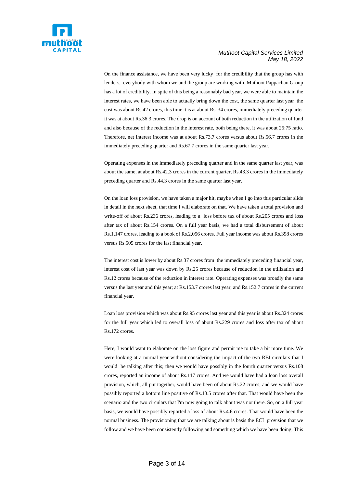

On the finance assistance, we have been very lucky for the credibility that the group has with lenders, everybody with whom we and the group are working with. Muthoot Pappachan Group has a lot of credibility. In spite of this being a reasonably bad year, we were able to maintain the interest rates, we have been able to actually bring down the cost, the same quarter last year the cost was about Rs.42 crores, this time it is at about Rs. 34 crores, immediately preceding quarter it was at about Rs.36.3 crores. The drop is on account of both reduction in the utilization of fund and also because of the reduction in the interest rate, both being there, it was about 25:75 ratio. Therefore, net interest income was at about Rs.73.7 crores versus about Rs.56.7 crores in the immediately preceding quarter and Rs.67.7 crores in the same quarter last year.

Operating expenses in the immediately preceding quarter and in the same quarter last year, was about the same, at about Rs.42.3 crores in the current quarter, Rs.43.3 crores in the immediately preceding quarter and Rs.44.3 crores in the same quarter last year.

On the loan loss provision, we have taken a major hit, maybe when I go into this particular slide in detail in the next sheet, that time I will elaborate on that. We have taken a total provision and write-off of about Rs.236 crores, leading to a loss before tax of about Rs.205 crores and loss after tax of about Rs.154 crores. On a full year basis, we had a total disbursement of about Rs.1,147 crores, leading to a book of Rs.2,056 crores. Full year income was about Rs.398 crores versus Rs.505 crores for the last financial year.

The interest cost is lower by about Rs.37 crores from the immediately preceding financial year, interest cost of last year was down by Rs.25 crores because of reduction in the utilization and Rs.12 crores because of the reduction in interest rate. Operating expenses was broadly the same versus the last year and this year; at Rs.153.7 crores last year, and Rs.152.7 crores in the current financial year.

Loan loss provision which was about Rs.95 crores last year and this year is about Rs.324 crores for the full year which led to overall loss of about Rs.229 crores and loss after tax of about Rs.172 crores.

Here, I would want to elaborate on the loss figure and permit me to take a bit more time. We were looking at a normal year without considering the impact of the two RBI circulars that I would be talking after this; then we would have possibly in the fourth quarter versus Rs.108 crores, reported an income of about Rs.117 crores. And we would have had a loan loss overall provision, which, all put together, would have been of about Rs.22 crores, and we would have possibly reported a bottom line positive of Rs.13.5 crores after that. That would have been the scenario and the two circulars that I'm now going to talk about was not there. So, on a full year basis, we would have possibly reported a loss of about Rs.4.6 crores. That would have been the normal business. The provisioning that we are talking about is basis the ECL provision that we follow and we have been consistently following and something which we have been doing. This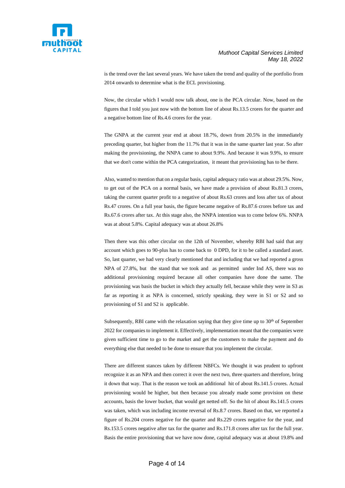

is the trend over the last several years. We have taken the trend and quality of the portfolio from 2014 onwards to determine what is the ECL provisioning.

Now, the circular which I would now talk about, one is the PCA circular. Now, based on the figures that I told you just now with the bottom line of about Rs.13.5 crores for the quarter and a negative bottom line of Rs.4.6 crores for the year.

The GNPA at the current year end at about 18.7%, down from 20.5% in the immediately preceding quarter, but higher from the 11.7% that it was in the same quarter last year. So after making the provisioning, the NNPA came to about 9.9%. And because it was 9.9%, to ensure that we don't come within the PCA categorization, it meant that provisioning has to be there.

Also, wanted to mention that on a regular basis, capital adequacy ratio was at about 29.5%. Now, to get out of the PCA on a normal basis, we have made a provision of about Rs.81.3 crores, taking the current quarter profit to a negative of about Rs.63 crores and loss after tax of about Rs.47 crores. On a full year basis, the figure became negative of Rs.87.6 crores before tax and Rs.67.6 crores after tax. At this stage also, the NNPA intention was to come below 6%. NNPA was at about 5.8%. Capital adequacy was at about 26.8%

Then there was this other circular on the 12th of November, whereby RBI had said that any account which goes to 90-plus has to come back to 0 DPD, for it to be called a standard asset. So, last quarter, we had very clearly mentioned that and including that we had reported a gross NPA of 27.8%, but the stand that we took and as permitted under Ind AS, there was no additional provisioning required because all other companies have done the same. The provisioning was basis the bucket in which they actually fell, because while they were in S3 as far as reporting it as NPA is concerned, strictly speaking, they were in S1 or S2 and so provisioning of S1 and S2 is applicable.

Subsequently, RBI came with the relaxation saying that they give time up to  $30<sup>th</sup>$  of September 2022 for companies to implement it. Effectively, implementation meant that the companies were given sufficient time to go to the market and get the customers to make the payment and do everything else that needed to be done to ensure that you implement the circular.

There are different stances taken by different NBFCs. We thought it was prudent to upfront recognize it as an NPA and then correct it over the next two, three quarters and therefore, bring it down that way. That is the reason we took an additional hit of about Rs.141.5 crores. Actual provisioning would be higher, but then because you already made some provision on these accounts, basis the lower bucket, that would get netted off. So the hit of about Rs.141.5 crores was taken, which was including income reversal of Rs.8.7 crores. Based on that, we reported a figure of Rs.204 crores negative for the quarter and Rs.229 crores negative for the year, and Rs.153.5 crores negative after tax for the quarter and Rs.171.8 crores after tax for the full year. Basis the entire provisioning that we have now done, capital adequacy was at about 19.8% and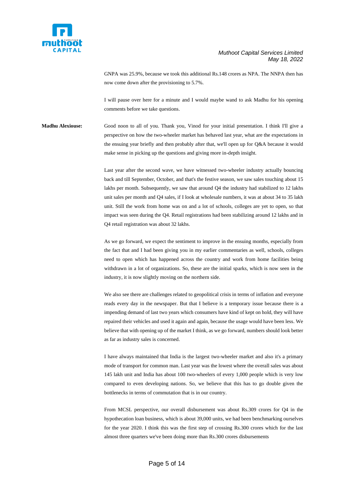

GNPA was 25.9%, because we took this additional Rs.148 crores as NPA. The NNPA then has now come down after the provisioning to 5.7%.

I will pause over here for a minute and I would maybe wand to ask Madhu for his opening comments before we take questions.

**Madhu Alexiouse:** Good noon to all of you. Thank you, Vinod for your initial presentation. I think I'll give a perspective on how the two-wheeler market has behaved last year, what are the expectations in the ensuing year briefly and then probably after that, we'll open up for Q&A because it would make sense in picking up the questions and giving more in-depth insight.

> Last year after the second wave, we have witnessed two-wheeler industry actually bouncing back and till September, October, and that's the festive season, we saw sales touching about 15 lakhs per month. Subsequently, we saw that around Q4 the industry had stabilized to 12 lakhs unit sales per month and Q4 sales, if I look at wholesale numbers, it was at about 34 to 35 lakh unit. Still the work from home was on and a lot of schools, colleges are yet to open, so that impact was seen during the Q4. Retail registrations had been stabilizing around 12 lakhs and in Q4 retail registration was about 32 lakhs.

> As we go forward, we expect the sentiment to improve in the ensuing months, especially from the fact that and I had been giving you in my earlier commentaries as well, schools, colleges need to open which has happened across the country and work from home facilities being withdrawn in a lot of organizations. So, these are the initial sparks, which is now seen in the industry, it is now slightly moving on the northern side.

> We also see there are challenges related to geopolitical crisis in terms of inflation and everyone reads every day in the newspaper. But that I believe is a temporary issue because there is a impending demand of last two years which consumers have kind of kept on hold, they will have repaired their vehicles and used it again and again, because the usage would have been less. We believe that with opening up of the market I think, as we go forward, numbers should look better as far as industry sales is concerned.

> I have always maintained that India is the largest two-wheeler market and also it's a primary mode of transport for common man. Last year was the lowest where the overall sales was about 145 lakh unit and India has about 100 two-wheelers of every 1,000 people which is very low compared to even developing nations. So, we believe that this has to go double given the bottlenecks in terms of commutation that is in our country.

> From MCSL perspective, our overall disbursement was about Rs.309 crores for Q4 in the hypothecation loan business, which is about 39,000 units, we had been benchmarking ourselves for the year 2020. I think this was the first step of crossing Rs.300 crores which for the last almost three quarters we've been doing more than Rs.300 crores disbursements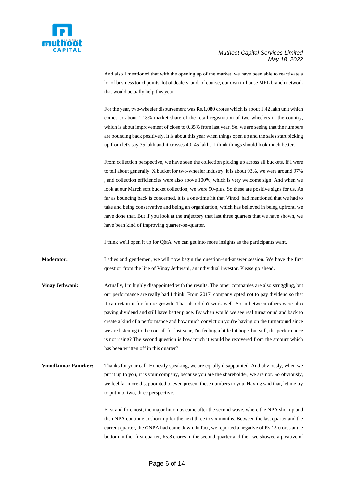

And also I mentioned that with the opening up of the market, we have been able to reactivate a lot of business touchpoints, lot of dealers, and, of course, our own in-house MFL branch network that would actually help this year.

For the year, two-wheeler disbursement was Rs.1,080 crores which is about 1.42 lakh unit which comes to about 1.18% market share of the retail registration of two-wheelers in the country, which is about improvement of close to 0.35% from last year. So, we are seeing that the numbers are bouncing back positively. It is about this year when things open up and the sales start picking up from let's say 35 lakh and it crosses 40, 45 lakhs, I think things should look much better.

From collection perspective, we have seen the collection picking up across all buckets. If I were to tell about generally X bucket for two-wheeler industry, it is about 93%, we were around 97% , and collection efficiencies were also above 100%, which is very welcome sign. And when we look at our March soft bucket collection, we were 90-plus. So these are positive signs for us. As far as bouncing back is concerned, it is a one-time hit that Vinod had mentioned that we had to take and being conservative and being an organization, which has believed in being upfront, we have done that. But if you look at the trajectory that last three quarters that we have shown, we have been kind of improving quarter-on-quarter.

I think we'll open it up for Q&A, we can get into more insights as the participants want.

**Moderator:** Ladies and gentlemen, we will now begin the question-and-answer session. We have the first question from the line of Vinay Jethwani, an individual investor. Please go ahead.

**Vinay Jethwani:** Actually, I'm highly disappointed with the results. The other companies are also struggling, but our performance are really bad I think. From 2017, company opted not to pay dividend so that it can retain it for future growth. That also didn't work well. So in between others were also paying dividend and still have better place. By when would we see real turnaround and back to create a kind of a performance and how much conviction you're having on the turnaround since we are listening to the concall for last year, I'm feeling a little bit hope, but still, the performance is not rising? The second question is how much it would be recovered from the amount which has been written off in this quarter?

**Vinodkumar Panicker:** Thanks for your call. Honestly speaking, we are equally disappointed. And obviously, when we put it up to you, it is your company, because you are the shareholder, we are not. So obviously, we feel far more disappointed to even present these numbers to you. Having said that, let me try to put into two, three perspective.

> First and foremost, the major hit on us came after the second wave, where the NPA shot up and then NPA continue to shoot up for the next three to six months. Between the last quarter and the current quarter, the GNPA had come down, in fact, we reported a negative of Rs.15 crores at the bottom in the first quarter, Rs.8 crores in the second quarter and then we showed a positive of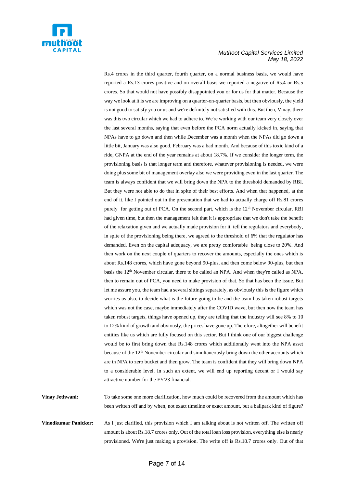

Rs.4 crores in the third quarter, fourth quarter, on a normal business basis, we would have reported a Rs.13 crores positive and on overall basis we reported a negative of Rs.4 or Rs.5 crores. So that would not have possibly disappointed you or for us for that matter. Because the way we look at it is we are improving on a quarter-on-quarter basis, but then obviously, the yield is not good to satisfy you or us and we're definitely not satisfied with this. But then, Vinay, there was this two circular which we had to adhere to. We're working with our team very closely over the last several months, saying that even before the PCA norm actually kicked in, saying that NPAs have to go down and then while December was a month when the NPAs did go down a little bit, January was also good, February was a bad month. And because of this toxic kind of a ride, GNPA at the end of the year remains at about 18.7%. If we consider the longer term, the provisioning basis is that longer term and therefore, whatever provisioning is needed, we were doing plus some bit of management overlay also we were providing even in the last quarter. The team is always confident that we will bring down the NPA to the threshold demanded by RBI. But they were not able to do that in spite of their best efforts. And when that happened, at the end of it, like I pointed out in the presentation that we had to actually charge off Rs.81 crores purely for getting out of PCA. On the second part, which is the 12<sup>th</sup> November circular, RBI had given time, but then the management felt that it is appropriate that we don't take the benefit of the relaxation given and we actually made provision for it, tell the regulators and everybody, in spite of the provisioning being there, we agreed to the threshold of 6% that the regulator has demanded. Even on the capital adequacy, we are pretty comfortable being close to 20%. And then work on the next couple of quarters to recover the amounts, especially the ones which is about Rs.148 crores, which have gone beyond 90-plus, and then come below 90-plus, but then basis the 12<sup>th</sup> November circular, there to be called an NPA. And when they're called as NPA, then to remain out of PCA, you need to make provision of that. So that has been the issue. But let me assure you, the team had a several sittings separately, as obviously this is the figure which worries us also, to decide what is the future going to be and the team has taken robust targets which was not the case, maybe immediately after the COVID wave, but then now the team has taken robust targets, things have opened up, they are telling that the industry will see 8% to 10 to 12% kind of growth and obviously, the prices have gone up. Therefore, altogether will benefit entities like us which are fully focused on this sector. But I think one of our biggest challenge would be to first bring down that Rs.148 crores which additionally went into the NPA asset because of the 12th November circular and simultaneously bring down the other accounts which are in NPA to zero bucket and then grow. The team is confident that they will bring down NPA to a considerable level. In such an extent, we will end up reporting decent or I would say attractive number for the FY'23 financial.

**Vinay Jethwani:** To take some one more clarification, how much could be recovered from the amount which has been written off and by when, not exact timeline or exact amount, but a ballpark kind of figure?

**Vinodkumar Panicker:** As I just clarified, this provision which I am talking about is not written off. The written off amount is about Rs.18.7 crores only. Out of the total loan loss provision, everything else is nearly provisioned. We're just making a provision. The write off is Rs.18.7 crores only. Out of that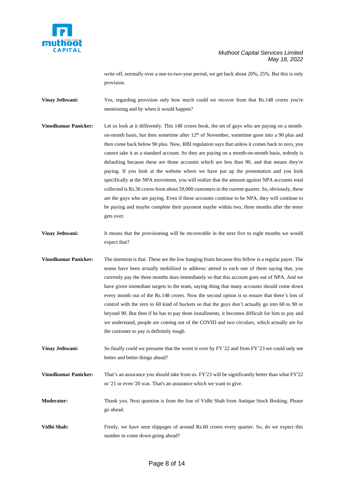

write off, normally over a one-to-two-year period, we get back about 20%, 25%. But this is only provision.

**Vinay Jethwani:** Yes, regarding provision only how much could we recover from that Rs.148 crores you're mentioning and by when it would happen?

- **Vinodkumar Panicker:** Let us look at it differently. This 148 crores book, the set of guys who are paying on a monthon-month basis, but then sometime after  $12<sup>th</sup>$  of November, sometime gone into a 90 plus and then come back below 90 plus. Now, RBI regulation says that unless it comes back to zero, you cannot take it as a standard account. So they are paying on a month-on-month basis, nobody is defaulting because these are those accounts which are less than 90, and that means they're paying. If you look at the website where we have put up the presentation and you look specifically at the NPA movement, you will realize that the amount against NPA accounts total collected is Rs.36 crores from about 59,000 customers in the current quarter. So, obviously, these are the guys who are paying. Even if these accounts continue to be NPA, they will continue to be paying and maybe complete their payment maybe within two, three months after the tenor gets over.
- **Vinay Jethwani:** It means that the provisioning will be recoverable in the next five to eight months we would expect that?
- **Vinodkumar Panicker:** The intention is that. These are the low hanging fruits because this fellow is a regular payer. The teams have been actually mobilized to address/ attend to each one of them saying that, you currently pay the three months dues immediately so that this account goes out of NPA. And we have given immediate targets to the team, saying thing that many accounts should come down every month out of the Rs.148 crores. Now the second option is to ensure that there's lots of control with the zero to 60 kind of buckets so that the guys don't actually go into 60 to 90 or beyond 90. But then if he has to pay three installments, it becomes difficult for him to pay and we understand, people are coming out of the COVID and two circulars, which actually are for the customer to pay is definitely tough.

**Vinay Jethwani:** So finally could we presume that the worst is over by FY'22 and from FY'23 we could only see better and better things ahead?

**Vinodkumar Panicker:** That's an assurance you should take from us. FY'23 will be significantly better than what FY'22 or '21 or even '20 was. That's an assurance which we want to give.

**Moderator:** Thank you. Next question is from the line of Vidhi Shah from Antique Stock Broking. Please go ahead.

**Vidhi Shah:** Firstly, we have seen slippages of around Rs.60 crores every quarter. So, do we expect this number to come down going ahead?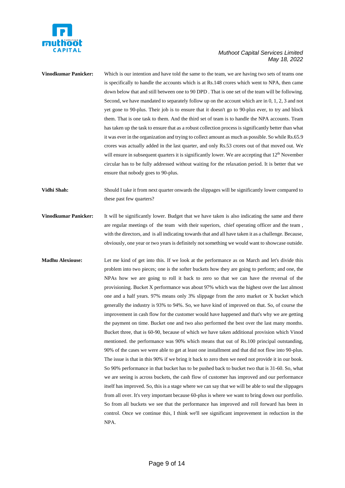

## **Vinodkumar Panicker:** Which is our intention and have told the same to the team, we are having two sets of teams one is specifically to handle the accounts which is at Rs.148 crores which went to NPA, then came down below that and still between one to 90 DPD . That is one set of the team will be following. Second, we have mandated to separately follow up on the account which are in 0, 1, 2, 3 and not yet gone to 90-plus. Their job is to ensure that it doesn't go to 90-plus ever, to try and block them. That is one task to them. And the third set of team is to handle the NPA accounts. Team has taken up the task to ensure that as a robust collection process is significantly better than what it was ever in the organization and trying to collect amount as much as possible. So while Rs.65.9 crores was actually added in the last quarter, and only Rs.53 crores out of that moved out. We will ensure in subsequent quarters it is significantly lower. We are accepting that 12<sup>th</sup> November circular has to be fully addressed without waiting for the relaxation period. It is better that we ensure that nobody goes to 90-plus. **Vidhi Shah:** Should I take it from next quarter onwards the slippages will be significantly lower compared to these past few quarters? **Vinodkumar Panicker:** It will be significantly lower. Budget that we have taken is also indicating the same and there are regular meetings of the team with their superiors, chief operating officer and the team , with the directors, and is all indicating towards that and all have taken it as a challenge. Because, obviously, one year or two years is definitely not something we would want to showcase outside. **Madhu Alexiouse:** Let me kind of get into this. If we look at the performance as on March and let's divide this problem into two pieces; one is the softer buckets how they are going to perform; and one, the NPAs how we are going to roll it back to zero so that we can have the reversal of the provisioning. Bucket X performance was about 97% which was the highest over the last almost one and a half years. 97% means only 3% slippage from the zero market or X bucket which generally the industry is 93% to 94%. So, we have kind of improved on that. So, of course the improvement in cash flow for the customer would have happened and that's why we are getting the payment on time. Bucket one and two also performed the best over the last many months. Bucket three, that is 60-90, because of which we have taken additional provision which Vinod mentioned. the performance was 90% which means that out of Rs.100 principal outstanding, 90% of the cases we were able to get at least one installment and that did not flow into 90-plus. The issue is that in this 90% if we bring it back to zero then we need not provide it in our book. So 90% performance in that bucket has to be pushed back to bucket two that is 31-60. So, what we are seeing is across buckets, the cash flow of customer has improved and our performance itself has improved. So, this is a stage where we can say that we will be able to seal the slippages from all over. It's very important because 60-plus is where we want to bring down our portfolio. So from all buckets we see that the performance has improved and roll forward has been in control. Once we continue this, I think we'll see significant improvement in reduction in the NPA.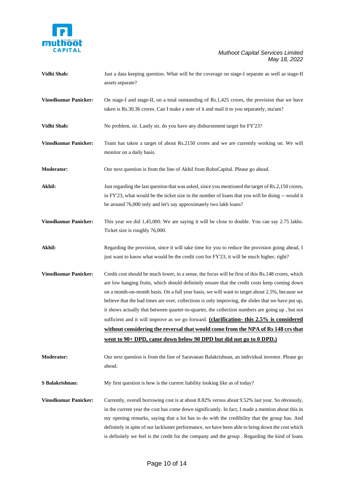

| Vidhi Shah:                 | Just a data keeping question. What will be the coverage on stage-I separate as well as stage-II<br>assets separate?                                                                                                                                                                                                                                                                                                                                                                                                                                                                                                                                                                                                                                                 |
|-----------------------------|---------------------------------------------------------------------------------------------------------------------------------------------------------------------------------------------------------------------------------------------------------------------------------------------------------------------------------------------------------------------------------------------------------------------------------------------------------------------------------------------------------------------------------------------------------------------------------------------------------------------------------------------------------------------------------------------------------------------------------------------------------------------|
| <b>Vinodkumar Panicker:</b> | On stage-I and stage-II, on a total outstanding of Rs.1,425 crores, the provision that we have<br>taken is Rs.30.36 crores. Can I make a note of it and mail it to you separately, ma'am?                                                                                                                                                                                                                                                                                                                                                                                                                                                                                                                                                                           |
| Vidhi Shah:                 | No problem, sir. Lastly sir, do you have any disbursement target for FY'23?                                                                                                                                                                                                                                                                                                                                                                                                                                                                                                                                                                                                                                                                                         |
| <b>Vinodkumar Panicker:</b> | Team has taken a target of about Rs.2150 crores and we are currently working on. We will<br>monitor on a daily basis.                                                                                                                                                                                                                                                                                                                                                                                                                                                                                                                                                                                                                                               |
| <b>Moderator:</b>           | Our next question is from the line of Akhil from RoboCapital. Please go ahead.                                                                                                                                                                                                                                                                                                                                                                                                                                                                                                                                                                                                                                                                                      |
| Akhil:                      | Just regarding the last question that was asked, since you mentioned the target of Rs.2,150 crores,<br>in FY'23, what would be the ticket size in the number of loans that you will be doing -- would it<br>be around 76,000 only and let's say approximately two lakh loans?                                                                                                                                                                                                                                                                                                                                                                                                                                                                                       |
| <b>Vinodkumar Panicker:</b> | This year we did 1,45,000. We are saying it will be close to double. You can say 2.75 lakhs.<br>Ticket size is roughly 76,000.                                                                                                                                                                                                                                                                                                                                                                                                                                                                                                                                                                                                                                      |
| Akhil:                      | Regarding the provision, since it will take time for you to reduce the provision going ahead, I<br>just want to know what would be the credit cost for FY'23, it will be much higher, right?                                                                                                                                                                                                                                                                                                                                                                                                                                                                                                                                                                        |
| <b>Vinodkumar Panicker:</b> | Credit cost should be much lower, in a sense, the focus will be first of this Rs.148 crores, which<br>are low hanging fruits, which should definitely ensure that the credit costs keep coming down<br>on a month-on-month basis. On a full year basis, we will want to target about 2.5%, because we<br>believe that the bad times are over, collections is only improving, the slides that we have put up,<br>it shows actually that between quarter-to-quarter, the collection numbers are going up, but not<br>sufficient and it will improve as we go forward. (clarification-this 2.5% is considered<br>without considering the reversal that would come from the NPA of Rs 148 crs that<br>went to 90+ DPD, came down below 90 DPD but did not go to 0 DPD.) |
| <b>Moderator:</b>           | Our next question is from the line of Saravanan Balakrishnan, an individual investor. Please go<br>ahead.                                                                                                                                                                                                                                                                                                                                                                                                                                                                                                                                                                                                                                                           |
| S Balakrishnan:             | My first question is how is the current liability looking like as of today?                                                                                                                                                                                                                                                                                                                                                                                                                                                                                                                                                                                                                                                                                         |
| <b>Vinodkumar Panicker:</b> | Currently, overall borrowing cost is at about 8.82% versus about 9.52% last year. So obviously,<br>in the current year the cost has come down significantly. In fact, I made a mention about this in<br>my opening remarks, saying that a lot has to do with the credibility that the group has. And<br>definitely in spite of our lackluster performance, we have been able to bring down the cost which<br>is definitely we feel is the credit for the company and the group . Regarding the kind of loans                                                                                                                                                                                                                                                        |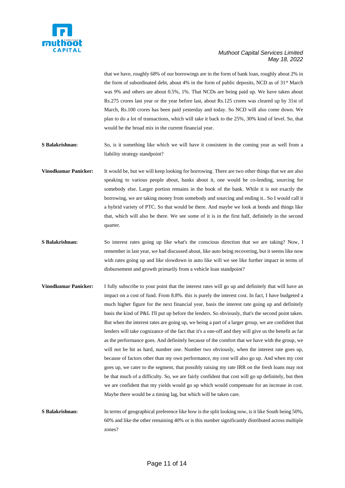

that we have, roughly 68% of our borrowings are in the form of bank loan, roughly about 2% in the form of subordinated debt, about 4% in the form of public deposits, NCD as of  $31<sup>st</sup>$  March was 9% and others are about 0.5%, 1%. That NCDs are being paid up. We have taken about Rs.275 crores last year or the year before last, about Rs.125 crores was cleared up by 31st of March, Rs.100 crores has been paid yesterday and today. So NCD will also come down. We plan to do a lot of transactions, which will take it back to the 25%, 30% kind of level. So, that would be the broad mix in the current financial year.

**S Balakrishnan:** So, is it something like which we will have it consistent in the coming year as well from a liability strategy standpoint?

- **Vinodkumar Panicker:** It would be, but we will keep looking for borrowing. There are two other things that we are also speaking to various people about, banks about it, one would be co-lending, sourcing for somebody else. Larger portion remains in the book of the bank. While it is not exactly the borrowing, we are taking money from somebody and sourcing and ending it.. So I would call it a hybrid variety of PTC. So that would be there. And maybe we look at bonds and things like that, which will also be there. We see some of it is in the first half, definitely in the second quarter.
- **S Balakrishnan:** So interest rates going up like what's the conscious direction that we are taking? Now, I remember in last year, we had discussed about, like auto being recovering, but it seems like now with rates going up and like slowdown in auto like will we see like further impact in terms of disbursement and growth primarily from a vehicle loan standpoint?
- **Vinodkumar Panicker:** I fully subscribe to your point that the interest rates will go up and definitely that will have an impact on a cost of fund. From 8.8%. this is purely the interest cost. In fact, I have budgeted a much higher figure for the next financial year, basis the interest rate going up and definitely basis the kind of P&L I'll put up before the lenders. So obviously, that's the second point taken. But when the interest rates are going up, we being a part of a larger group, we are confident that lenders will take cognizance of the fact that it's a one-off and they will give us the benefit as far as the performance goes. And definitely because of the comfort that we have with the group, we will not be hit as hard, number one. Number two obviously, when the interest rate goes up, because of factors other than my own performance, my cost will also go up. And when my cost goes up, we cater to the segment, that possibly raising my rate IRR on the fresh loans may not be that much of a difficulty. So, we are fairly confident that cost will go up definitely, but then we are confident that my yields would go up which would compensate for an increase in cost. Maybe there would be a timing lag, but which will be taken care.
- **S Balakrishnan:** In terms of geographical preference like how is the split looking now, is it like South being 50%, 60% and like the other remaining 40% or is this number significantly distributed across multiple zones?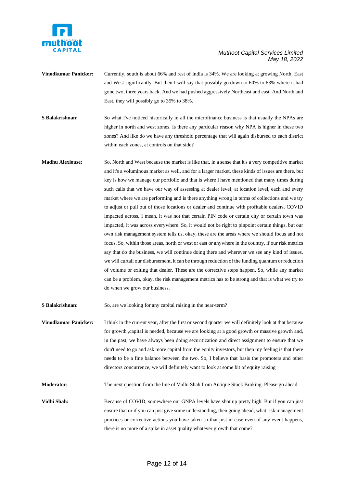

- **Vinodkumar Panicker:** Currently, south is about 66% and rest of India is 34%. We are looking at growing North, East and West significantly. But then I will say that possibly go down to 60% to 63% where it had gone two, three years back. And we had pushed aggressively Northeast and east. And North and East, they will possibly go to 35% to 38%.
- **S Balakrishnan:** So what I've noticed historically in all the microfinance business is that usually the NPAs are higher in north and west zones. Is there any particular reason why NPA is higher in these two zones? And like do we have any threshold percentage that will again disbursed to each district within each zones, at controls on that side?
- **Madhu Alexiouse:** So, North and West because the market is like that, in a sense that it's a very competitive market and it's a voluminous market as well, and for a larger market, these kinds of issues are there, but key is how we manage our portfolio and that is where I have mentioned that many times during such calls that we have our way of assessing at dealer level, at location level, each and every market where we are performing and is there anything wrong in terms of collections and we try to adjust or pull out of those locations or dealer and continue with profitable dealers. COVID impacted across, I mean, it was not that certain PIN code or certain city or certain town was impacted, it was across everywhere. So, it would not be right to pinpoint certain things, but our own risk management system tells us, okay, these are the areas where we should focus and not focus. So, within those areas, north or west or east or anywhere in the country, if our risk metrics say that do the business, we will continue doing there and wherever we see any kind of issues, we will curtail our disbursement, it can be through reduction of the funding quantum or reduction of volume or exiting that dealer. These are the corrective steps happen. So, while any market can be a problem, okay, the risk management metrics has to be strong and that is what we try to do when we grow our business.

**S Balakrishnan:** So, are we looking for any capital raising in the near-term?

**Vinodkumar Panicker:** I think in the current year, after the first or second quarter we will definitely look at that because for growth ,capital is needed, because we are looking at a good growth or massive growth and, in the past, we have always been doing securitization and direct assignment to ensure that we don't need to go and ask more capital from the equity investors, but then my feeling is that there needs to be a fine balance between the two. So, I believe that basis the promoters and other directors concurrence, we will definitely want to look at some bit of equity raising

**Moderator:** The next question from the line of Vidhi Shah from Antique Stock Broking. Please go ahead.

**Vidhi Shah:** Because of COVID, somewhere our GNPA levels have shot up pretty high. But if you can just ensure that or if you can just give some understanding, then going ahead, what risk management practices or corrective actions you have taken so that just in case even of any event happens, there is no more of a spike in asset quality whatever growth that come?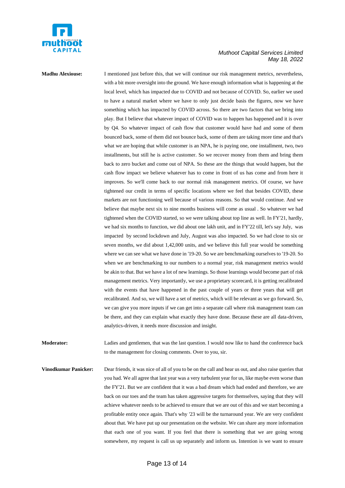

**Madhu Alexiouse:** I mentioned just before this, that we will continue our risk management metrics, nevertheless, with a bit more oversight into the ground. We have enough information what is happening at the local level, which has impacted due to COVID and not because of COVID. So, earlier we used to have a natural market where we have to only just decide basis the figures, now we have something which has impacted by COVID across. So there are two factors that we bring into play. But I believe that whatever impact of COVID was to happen has happened and it is over by Q4. So whatever impact of cash flow that customer would have had and some of them bounced back, some of them did not bounce back, some of them are taking more time and that's what we are hoping that while customer is an NPA, he is paying one, one installment, two, two installments, but still he is active customer. So we recover money from them and bring them back to zero bucket and come out of NPA. So these are the things that would happen, but the cash flow impact we believe whatever has to come in front of us has come and from here it improves. So we'll come back to our normal risk management metrics. Of course, we have tightened our credit in terms of specific locations where we feel that besides COVID, these markets are not functioning well because of various reasons. So that would continue. And we believe that maybe next six to nine months business will come as usual . So whatever we had tightened when the COVID started, so we were talking about top line as well. In FY'21, hardly, we had six months to function, we did about one lakh unit, and in FY'22 till, let's say July, was impacted by second lockdown and July, August was also impacted. So we had close to six or seven months, we did about 1,42,000 units, and we believe this full year would be something where we can see what we have done in '19-20. So we are benchmarking ourselves to '19-20. So when we are benchmarking to our numbers to a normal year, risk management metrics would be akin to that. But we have a lot of new learnings. So those learnings would become part of risk management metrics. Very importantly, we use a proprietary scorecard, it is getting recalibrated with the events that have happened in the past couple of years or three years that will get recalibrated. And so, we will have a set of metrics, which will be relevant as we go forward. So, we can give you more inputs if we can get into a separate call where risk management team can be there, and they can explain what exactly they have done. Because these are all data-driven, analytics-driven, it needs more discussion and insight.

**Moderator:** Ladies and gentlemen, that was the last question. I would now like to hand the conference back to the management for closing comments. Over to you, sir.

**Vinodkumar Panicker:** Dear friends, it was nice of all of you to be on the call and hear us out, and also raise queries that you had. We all agree that last year was a very turbulent year for us, like maybe even worse than the FY'21. But we are confident that it was a bad dream which had ended and therefore, we are back on our toes and the team has taken aggressive targets for themselves, saying that they will achieve whatever needs to be achieved to ensure that we are out of this and we start becoming a profitable entity once again. That's why '23 will be the turnaround year. We are very confident about that. We have put up our presentation on the website. We can share any more information that each one of you want. If you feel that there is something that we are going wrong somewhere, my request is call us up separately and inform us. Intention is we want to ensure